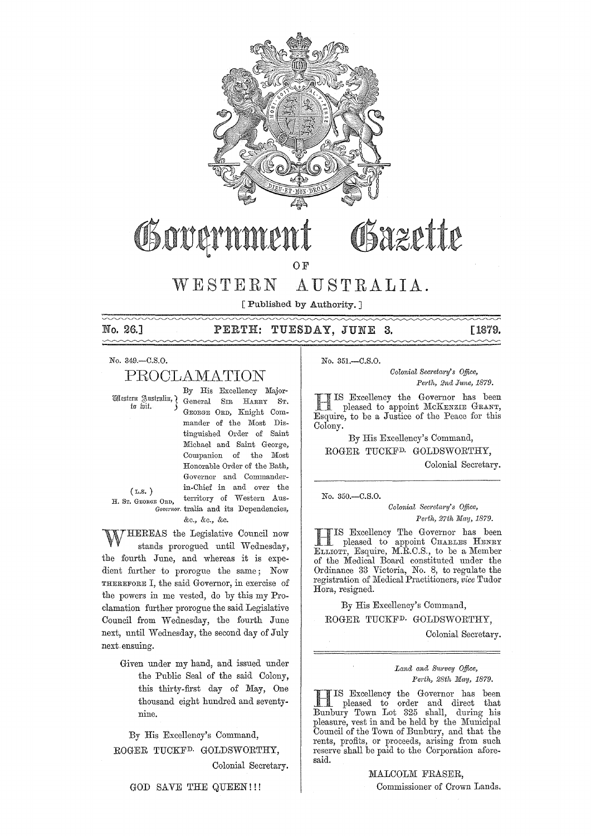

# Obazette Osovarn

OF

# WESTERN AUSTRALIA.

[Published by Authority. ]

# No. 26.] PERTH: TUESDAY, JUNE **3.** [1879.

 $\sim\sim$ 

No. 349.-C.S.0.

# PROOLAMATION

By His Excellency Major- ~£~ttm i1J,l1fitrali!l, I. General SIR HARRY ST. GEORGE ORD, Knight Commander of the Most Distinguished Order of Saint Michael and Saint George, Companion of the Most Honorable Order of the Bath, Governor and Commanderin-Chief in and over the (L.S. ) H. ST. GEORGE ORD, territory of Western Aus-Governor. tralia and its Dependencies, &c., &c., &c.

HEREAS the Legislative Council now stands prorogued until Wednesday, the fourth June, and whereas it is expedient further to prorogue the same; Now THEREFORE I, the said Governor, in exercise of the powers in me vested, do by this my Proclamation further prorogue the said Legislative Council from Wednesday, the fourth June next, until Wednesday, the second day of July next. ensuing.

> Given under my hand, and issued under the Public Seal of the said Colony, this thirty-first day of May, One thousand eight hundred and seventynine.

By His Excellency's Command, ROGER TUCKFD. GOLDSWORTHY,

Colonial Secretary.

GOD SAVE THE QUEEN!!!

No. 351.-C.S.0.

*Colonial Sem'etwry's Office, Pe1"th, 2nd June, 1879.* 

11 IS Excellency the Governor has been<br>pleased to appoint McKENZIE GRANT, Esquire, to be a Justice of the Peace for this Colony.

By His Excellency's Command, ROGER TUCKFD. GOLDSWORTHY, Colonial Secretary.

No. 350.-C.S.O.

*Colonial Secretary's Office,* Perth, 27th May, 1879.

HIS Excellency The Governor has been<br>pleased to appoint CHARLES HENRY ELLIOTT, Esquire, M.R.C.S., to be a Member of the Medical Board constituted under the Ordinance 33 Victoria, No. 8, to regulate the registration of Medical Practitioners, *vice* Tudor Hora, resigned.

By His Excellency's Command, ROGER TUCKFD. GOLDSWORTHY,

Colonial Secretary.

Land and Survey Office, *Perth, 28th May, 1879.* 

IIIS Excellency the Governor has been<br>pleased to order and direct that IS Excellency the Governor has been Bunbury Town Lot 325 shall, during his pleasure, vest in and be held by the Municipal Council of the Town of Bunbury, and that the rents, profits, or proceeds, arising from such reserve shall be paid to the Corporation aforesaid.

MALCOLM FRASER,

Commissioner of Crown Lands,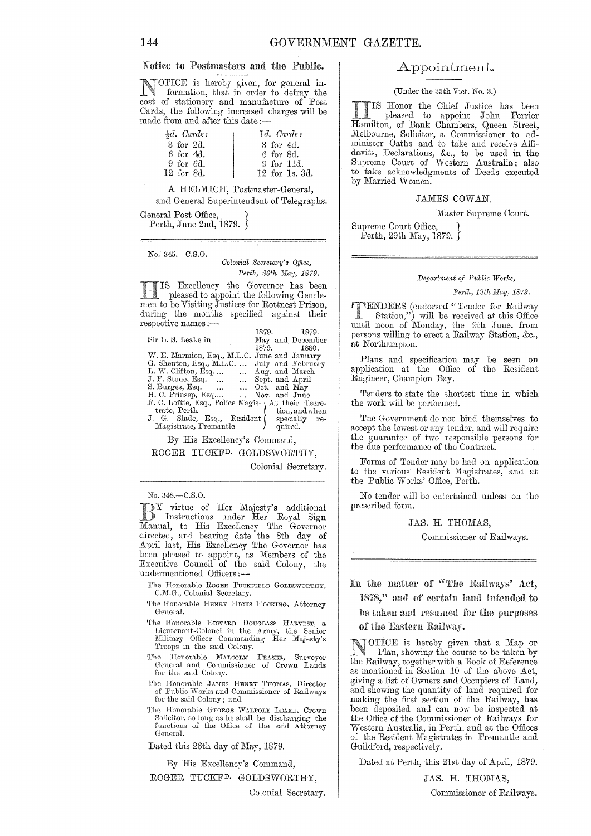## Notice to Postmasters amI the Public.

OTICE is hereby given, for general information, that in order to defray the cost of stationery and manufacture of Post Cards, the following increased charges will be made from and after this date:-

| $\frac{1}{2}d$ . Cards: | $1d.$ Cards:    |
|-------------------------|-----------------|
| 3 for 2d.               | 3 for 4d.       |
| 6 for 4d.               | 6 for 8d.       |
| $9$ for $6d$ .          | $9$ for $11d$ . |
| 12 for 8d.              | 12 for 1s, 3d.  |
|                         |                 |

A HELMICH, Postmaster-General,

and General Superintendent of Telegraphs.

General Post Office, Perth, June 2nd, 1879.  $\{$ 

No. 345.-C.S.0.

*Colonial Secrcta?'y's Office, Perth, 26th May, 1879.* 

Excellency the Governor has been pleased to appoint the following Gentlemen to be Visiting Justices for Rottnest Prison, during the months specified against their<br>respective names :— 1879. 1879.

|                                                    | 1019. 1019. |                   |
|----------------------------------------------------|-------------|-------------------|
| Sir L. S. Leake in                                 |             | May and December  |
|                                                    | 1879. 1880. |                   |
| W. E. Marmion, Esq., M.L.C. June and January       |             |                   |
| G. Shenton, Esq., M.L.C.                           |             | July and February |
| L. W. Clifton, Esq  Aug. and March                 |             |                   |
| J. F. Stone, Esq.   Sept. and April                |             |                   |
| S. Burges, Esq.   Oct. and May                     |             |                   |
| H. C. Prinsep, Esq  Nov. and June                  |             |                   |
| R. C. Loftie, Esq., Police Magis- At their discre- |             |                   |
| trate, Perth                                       |             | tion, and when    |
| J. G. Slade, Esq., Resident (                      |             | specially re-     |
| Magistrate, Fremantle                              |             | quired.           |

By His Excellency's Command,

ROGER TUCKFD. GOLDSWORTHY,

Colonial Secretary.

#### No. 348.-C.S.0.

BY virtue of Her Majesty's additional<br>
Instructions under Her Royal Sign<br>
Manuel to His Foodlyne The Co Manual, to His Excellency The Governor directed, and bearing date the 8th day of April last, His Excellency The Governor has been pleased to appoint, as Members of the Executive Council of the said Colony, the undermentioned Officers:-

- The Honorable ROGER TUCKFIELD GOLDSWORTHY, C.M.G., Colonial Secretary.
- The Honorable HENRY HICRS HOCKING, Attorney General.
- The Honorable EDWARD DOUGLASS HARVEST, a Lieutenant-Colonel in the Army, the Senior<br>Military Officer Commanding Her Majesty's Troops in the said Colony.
- The Honorable MALCOLM FRASER, Surveyor General and Commissioner of Crown Lands for the said Colony.
- The Honorable JAMES HENRY THOMAS, Director of Public Works and Commissioner of Railways for the said Colony; and
- The Honorable GEORGE WALPOLE LEAKE, Crown Solicitor, so long as he shall be discharging the functions of the Office of the said Attorney General.

Dated this 26th day of May, 1879.

By His Excellency's Command, ROGER TUCKFD. GOLDSWORTHY,

Colonial Secretary.

#### Appointment.

(Under the 35th Vict. No. 3.)

TS Honor the Chief Justice has been pleased to appoint John Ferrier Hamilton, of Bank Chambers, Queen Street, Melbourne, Solicitor, a Commissioner to administer Oaths and to take and receive Affidavits, Declarations, &c., to be used in the Supreme Court of Western Australia; also to take acknowledgments of Deeds executed by Married Women.

#### JAMES COWAN,

Master Supreme Court.

Supreme Court Office, } Perth, 29th May, 1879.

#### $Department of Public Works,$

#### *Perth, 12th May, 1879.*

**FITENDERS** (endorsed "Tender for Railway Station,") will be received at this Office until noon of Monday, the 9th June, from persons willing to erect a Railway Station, &c., at Northampton.

Plans and specification may be seen on application at the Office of the Resident Engineer, Champion Bay.

Tenders to state the shortest time in which the work will be performed.

The Government do not bind themselves to accept the lowest or any tender, and will require the guarantee of two responsible persons for the due performance of the Contract.

Forms of Tender may be had on application to the various Resident Magistrates, and at the Public Works' Office, Perth.

No tender will be entertained unless on the prescribed form.

JAS. H. THOMAS,

Commissioner of Railways.

In the matter of "The Railways' Act,

1878," and of certain land intended to be taken and resumed for the purposes of the Eastern Railway.

OTICE is hereby given that a Map or Plan, showing the course to be taken by the Railway, together with a Book of Reference as mentioned in Section 10 of the above Act, giving a list of Owners and Occupiers of Land, and showing the quantity of land required for making the first section of the Railway, has been deposited and can now be inspected at the Office of the Oommissioner of Railways for Western Australia, in Perth, and at the Offices of the Resident Magistrates in Fremantle and Guildford, respectively.

Dated at Perth, this 21st day of April, 1879.

JAS. H. THOMAS, Oommissioner of Railways.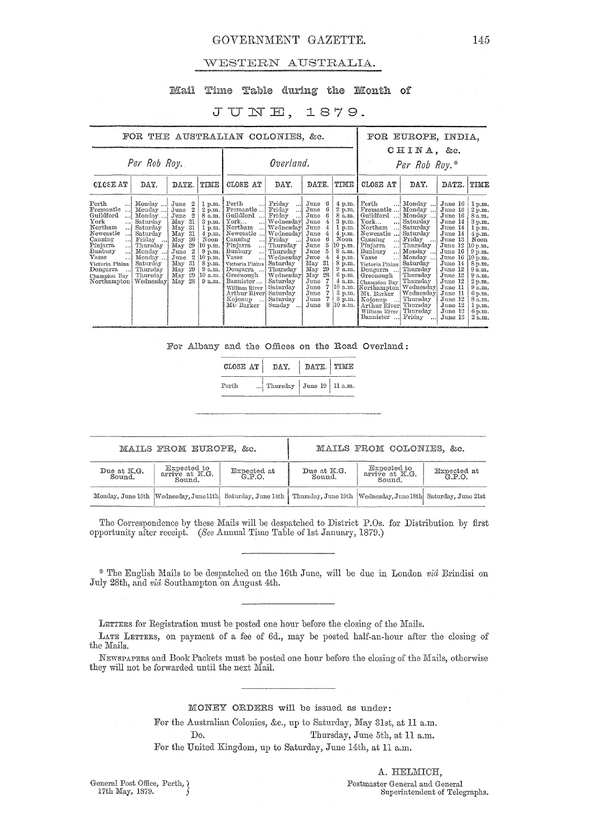## GOVERNMENT GAZETTE. 145

#### vVESTERN AUSTRALIA.

## Mail Time Table during the Month of

# JUNE, 1879.

| FOR THE AUSTRALIAN COLONIES, &c.                                                                                                                                                                                                                                                                                                                                                                                                           |                                                                                                                                                                                                                                                             |                                                                                                                                                                                             |                                                                                                                                                                                                                                                                 |                                                                                                                                                                                                                                                  |                                                                                                                                                                                                                        |                                                                                                                                                                                        |                                                                                                                                                                                                                                                                                                                                     | FOR EUROPE, INDIA,                                                                                                                                                                                                                 |                                                                                                                                                                                                                                   |                                                                                                                                                                                                           |
|--------------------------------------------------------------------------------------------------------------------------------------------------------------------------------------------------------------------------------------------------------------------------------------------------------------------------------------------------------------------------------------------------------------------------------------------|-------------------------------------------------------------------------------------------------------------------------------------------------------------------------------------------------------------------------------------------------------------|---------------------------------------------------------------------------------------------------------------------------------------------------------------------------------------------|-----------------------------------------------------------------------------------------------------------------------------------------------------------------------------------------------------------------------------------------------------------------|--------------------------------------------------------------------------------------------------------------------------------------------------------------------------------------------------------------------------------------------------|------------------------------------------------------------------------------------------------------------------------------------------------------------------------------------------------------------------------|----------------------------------------------------------------------------------------------------------------------------------------------------------------------------------------|-------------------------------------------------------------------------------------------------------------------------------------------------------------------------------------------------------------------------------------------------------------------------------------------------------------------------------------|------------------------------------------------------------------------------------------------------------------------------------------------------------------------------------------------------------------------------------|-----------------------------------------------------------------------------------------------------------------------------------------------------------------------------------------------------------------------------------|-----------------------------------------------------------------------------------------------------------------------------------------------------------------------------------------------------------|
| Per Rob Roy.                                                                                                                                                                                                                                                                                                                                                                                                                               |                                                                                                                                                                                                                                                             |                                                                                                                                                                                             |                                                                                                                                                                                                                                                                 | Overland.                                                                                                                                                                                                                                        |                                                                                                                                                                                                                        | CHINA, &c.<br>Per Rob Roy.*                                                                                                                                                            |                                                                                                                                                                                                                                                                                                                                     |                                                                                                                                                                                                                                    |                                                                                                                                                                                                                                   |                                                                                                                                                                                                           |
| <b>CLOSE AT</b><br>DAY.<br>Perth<br>Monday<br>Fremantle<br>Monday<br>Guildford<br>Monday<br>ا ا<br>York<br>Saturday<br>$\cdots$<br>Northam<br>Saturday<br>ا…<br>Newcastle<br>Saturday<br>!<br>Canning<br>Friday<br><br>$\cdots$<br>Pinjarra<br>Thursday<br>!<br>Bunbury<br>Monday<br>…!<br>Vasse<br>Monday.<br><br>Saturday<br>Victoria Plains<br>Dongarra<br>Thursday<br>$\cdots$<br>Thursday<br>Champion Bay<br>Northampton<br>Wednesdav | DATE.<br>June<br>2<br>2<br>June<br>$\overline{2}$<br>June<br>31<br>May<br>31<br>$_{\rm May}$<br>-31<br>May<br>May<br>30<br>29<br>May<br>$\boldsymbol{2}$<br>June<br>$\boldsymbol{2}$<br>June<br>31<br>May<br>29<br>May<br>29<br>May<br>-28<br>$_{\rm{May}}$ | TIME<br>1 p.m.<br>$2 \text{ p.m.}$<br>8 a.m.<br>3 p.m.<br>1 p.m.<br>$4$ p.m. $\frac{1}{3}$<br>Noon<br>10 p.m. !<br>$9 \overline{p}$ .m.<br>10 p.m.<br>8 p.m.<br>9a.m.<br>$10$ a.m.<br>9a.m. | CLOSE AT<br>Perth<br>Fremantle<br>Guildford<br>$\operatorname{York}$<br>Northam<br>Newcastle<br>Canning<br>!<br>Pinjarra<br>Bunbury<br>Vasse<br>Victoria Plains<br>Dongarra<br>Greenough<br>Bannister<br>William River<br>Arthur River<br>Kojonup<br>Mt: Barker | DAY.<br>Friday<br>ا. ا<br>Friday<br>$\ddotsc$<br>Friday<br>  Wednesday<br>  Wednesday<br>Wednesday<br>Friday<br>Thursday<br>Thursday<br>Wednesday<br>Saturday<br>Thursday<br>Wednesday<br>Saturday<br>Saturday<br>Saturday<br>Saturday<br>Sunday | DATE.<br>June<br>-6<br>June<br>June<br>June<br>4<br>June<br>4<br>June<br>June<br>5<br>June<br>June<br>5<br>$\overline{4}$<br>June<br>May<br>31<br>-29<br>May<br>May<br>28<br>June<br>June<br>June<br>June<br>June<br>8 | TIME<br>4 p.m.<br>2 p.m.<br>8 a.m.<br>$3$ p.m.<br>1 p.m.<br>$4.$ p.m.<br>Noon<br>10 p.m.<br>8 a.m.<br>4 p.m.<br>8 p.m.<br>9a.m.<br>$6$ p.m.<br>4a.m.<br>10 a.m.<br>8 p.m.<br>$10$ a.m. | CLOSE AT<br>Perth<br>Fremantle<br>Guildford<br>أمدد<br>$\operatorname{York}$<br>Northam<br>Newcastle<br>Canning<br>!<br>Pinjarra<br>Bunbury<br>اءء<br>Vasse<br>Victoria Plains<br>Dongarra<br>Greenough<br>Champion Bay<br>[Northampton] Wednesday]<br>3 p.m.   Mt. Barker<br>Kojonup<br>Arthur River<br>William River<br>Bannister | DAY.<br>Monday<br>Monday<br>Monday<br>Saturday<br>Saturday<br>Saturday<br>Friday<br>. 1<br>Thursday<br>Monday<br>Monday<br>Saturday<br>Thursday<br>Thursday<br>Thursday<br>Wednesday<br>Thursday<br>Thursday<br>Thursday<br>Friday | DATE.<br>June 16<br>June 16<br>June 16<br>June 14<br>June 14<br>June 14<br>June 13<br>June 12<br>June 16<br>June 16<br>June 14<br>June 12<br>June 12<br>June 12<br>June 11<br>June 11<br>June 12<br>June 12<br>June 12<br>June 13 | TIME<br>1 p.m.<br>2 p.m.<br>8 a.m.<br>3 p.m.<br>1 p.m.<br>4 p.m.<br>Noon<br>10 p.m.<br>9 p.m.<br>10 p.m.<br>8 p.m.<br>9a.m.<br>9 a.m.<br>2 p.m.<br>9a.m.<br>6 p.m.<br>8 a.m.<br>1 p.m.<br>6 p.m.<br>2a.m. |

For Albany and the Offices on the Road Overland:

| CLOSE AT | DAY.                       | DATE TIME |  |  |  |
|----------|----------------------------|-----------|--|--|--|
| Perth    | Thursday June 19   11 a.m. |           |  |  |  |

|                       | MAILS FROM EUROPE, &c.                  |                    |                                                                                                                               | MAILS FROM COLONIES, &c.                |                    |
|-----------------------|-----------------------------------------|--------------------|-------------------------------------------------------------------------------------------------------------------------------|-----------------------------------------|--------------------|
| Due at K.G.<br>Sound. | Expected to<br>arrive at K.G.<br>Sound. | Expected at G.P.O. | Due at K.G.<br>Sound.                                                                                                         | Expected to<br>arrive at K.G.<br>Sound. | Expected at G.P.O. |
|                       |                                         |                    | Monday, June 16th Wednesday, June 11th Saturday, June 14th   Thursday, June 19th   Wednesday, June 18th   Saturday, June 21st |                                         |                    |

The Correspondence by these Mails will be despatched to District P.Os. for Distribution by first opportunity after receipt. *(See Annual Time Table of 1st January, 1879.)* 

'" The English Mails to be despatched on the 16th June, will be due 111 London *via* Brindisi on July 28th, and *via* Southampton on August 4th.

LETTERS for Registration must be posted one hour before the closing of the Mails.

LATE LETTERS, on payment of a fee of 6d., may be posted half-an-hour after the closing of the Mails.

NEWSPAPERS and Book Packets must be posted one hour before the closing of the Mails, otherwise they will not be forwarded until the next Mail.

#### MONEY ORDERS will be issued as under:

For the Australian Colonies, &c., up to Saturday, May 31st, at 11 a.m. Do. Thursday, June 5th, at 11 a.m. For the United Kingdom, up to Saturday, June 14th, at 11 a.m.